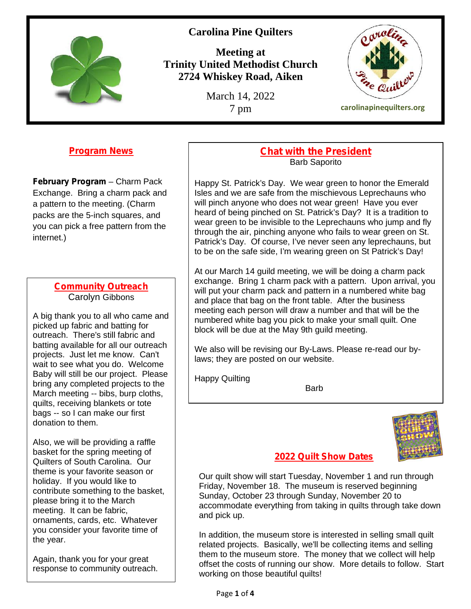

# **Carolina Pine Quilters**

**Meeting at Trinity United Methodist Church 2724 Whiskey Road, Aiken**

March 14, 2022



**Program News**

**February Program** – Charm Pack Exchange. Bring a charm pack and a pattern to the meeting. (Charm packs are the 5-inch squares, and you can pick a free pattern from the internet.)

### **Community Outreach** Carolyn Gibbons

A big thank you to all who came and picked up fabric and batting for outreach. There's still fabric and batting available for all our outreach projects. Just let me know. Can't wait to see what you do. Welcome Baby will still be our project. Please bring any completed projects to the March meeting -- bibs, burp cloths, quilts, receiving blankets or tote bags -- so I can make our first donation to them.

Also, we will be providing a raffle basket for the spring meeting of Quilters of South Carolina. Our theme is your favorite season or holiday. If you would like to contribute something to the basket, please bring it to the March meeting. It can be fabric, ornaments, cards, etc. Whatever you consider your favorite time of the year.

Again, thank you for your great response to community outreach.

### **Chat with the President** Barb Saporito

Happy St. Patrick's Day. We wear green to honor the Emerald Isles and we are safe from the mischievous Leprechauns who will pinch anyone who does not wear green! Have you ever heard of being pinched on St. Patrick's Day? It is a tradition to wear green to be invisible to the Leprechauns who jump and fly through the air, pinching anyone who fails to wear green on St. Patrick's Day. Of course, I've never seen any leprechauns, but to be on the safe side, I'm wearing green on St Patrick's Day!

At our March 14 guild meeting, we will be doing a charm pack exchange. Bring 1 charm pack with a pattern. Upon arrival, you will put your charm pack and pattern in a numbered white bag and place that bag on the front table. After the business meeting each person will draw a number and that will be the numbered white bag you pick to make your small quilt. One block will be due at the May 9th guild meeting.

We also will be revising our By-Laws. Please re-read our bylaws; they are posted on our website.

Happy Quilting

**Barb** 



### **2022 Quilt Show Dates**

Our quilt show will start Tuesday, November 1 and run through Friday, November 18. The museum is reserved beginning Sunday, October 23 through Sunday, November 20 to accommodate everything from taking in quilts through take down and pick up.

In addition, the museum store is interested in selling small quilt related projects. Basically, we'll be collecting items and selling them to the museum store. The money that we collect will help offset the costs of running our show. More details to follow. Start working on those beautiful quilts!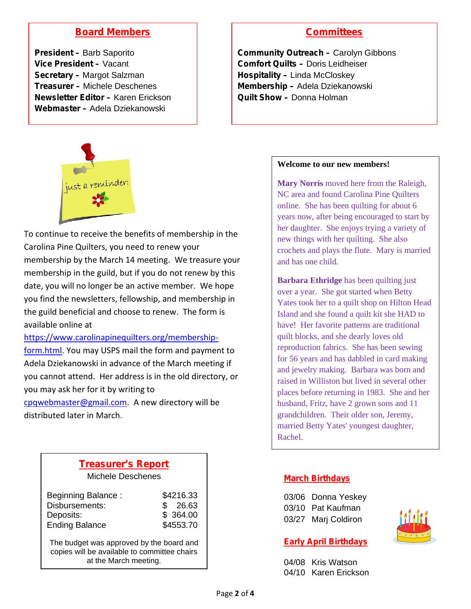# **Board Members**

**President –** Barb Saporito **Vice President –** Vacant **Secretary –** Margot Salzman **Treasurer –** Michele Deschenes **Newsletter Editor –** Karen Erickson **Webmaster –** Adela Dziekanowski

## **Committees**

**Community Outreach –** Carolyn Gibbons **Comfort Quilts –** Doris Leidheiser **Hospitality –** Linda McCloskey **Membership –** Adela Dziekanowski **Quilt Show –** Donna Holman



To continue to receive the benefits of membership in the Carolina Pine Quilters, you need to renew your membership by the March 14 meeting. We treasure your membership in the guild, but if you do not renew by this date, you will no longer be an active member. We hope you find the newsletters, fellowship, and membership in the guild beneficial and choose to renew. The form is available online at

https://www.carolinapinequilters.org/membershipform.html. You may USPS mail the form and payment to Adela Dziekanowski in advance of the March meeting if you cannot attend. Her address is in the old directory, or you may ask her for it by writing to

cpqwebmaster@gmail.com. A new directory will be distributed later in March.

| <b>Treasurer's Report</b> |  |
|---------------------------|--|
| Michele Deschenes         |  |

| <b>Beginning Balance:</b><br>Disbursements:<br>Deposits:<br><b>Ending Balance</b> | \$4216.33<br>26.63<br>\$364.00<br>\$4553.70 |  |
|-----------------------------------------------------------------------------------|---------------------------------------------|--|
| The budget was approved by the board and                                          |                                             |  |

The budget was approved by the board and copies will be available to committee chairs at the March meeting.

#### **Welcome to our new members!**

**Mary Norris** moved here from the Raleigh, NC area and found Carolina Pine Quilters online. She has been quilting for about 6 years now, after being encouraged to start by her daughter. She enjoys trying a variety of new things with her quilting. She also crochets and plays the flute. Mary is married and has one child.

**Barbara Ethridge** has been quilting just over a year. She got started when Betty Yates took her to a quilt shop on Hilton Head Island and she found a quilt kit she HAD to have! Her favorite patterns are traditional quilt blocks, and she dearly loves old reproduction fabrics. She has been sewing for 56 years and has dabbled in card making and jewelry making. Barbara was born and raised in Williston but lived in several other places before returning in 1983. She and her husband, Fritz, have 2 grown sons and 11 grandchildren. Their older son, Jeremy, married Betty Yates' youngest daughter, Rachel.

### **March Birthdays**

| 03/06 Donna Yeskey  |
|---------------------|
| 03/10 Pat Kaufman   |
| 03/27 Marj Coldiron |

### **Early April Birthdays**

04/08 Kris Watson 04/10 Karen Erickson

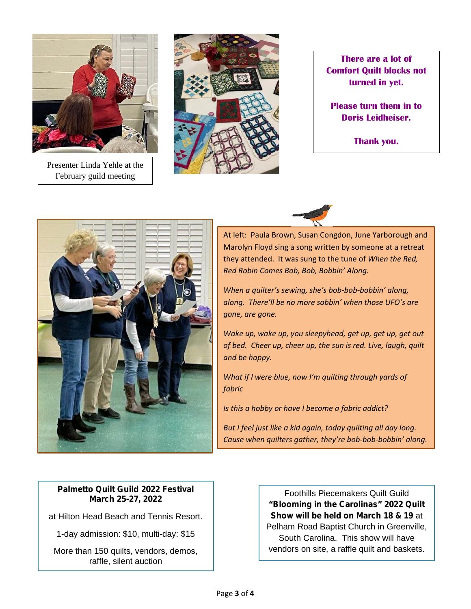

Presenter Linda Yehle at the February guild meeting



**There are a lot of Comfort Quilt blocks not turned in yet.**

**Please turn them in to Doris Leidheiser.**

**Thank you.**





At left: Paula Brown, Susan Congdon, June Yarborough and Marolyn Floyd sing a song written by someone at a retreat they attended. It was sung to the tune of *When the Red, Red Robin Comes Bob, Bob, Bobbin' Along.*

*When a quilter's sewing, she's bob-bob-bobbin' along, along. There'll be no more sobbin' when those UFO's are gone, are gone.*

*Wake up, wake up, you sleepyhead, get up, get up, get out of bed. Cheer up, cheer up, the sun is red. Live, laugh, quilt and be happy.*

*What if I were blue, now I'm quilting through yards of fabric*

*Is this a hobby or have I become a fabric addict?*

*But I feel just like a kid again, today quilting all day long. Cause when quilters gather, they're bob-bob-bobbin' along.*

### **Palmetto Quilt Guild 2022 Festival March 25-27, 2022**

at Hilton Head Beach and Tennis Resort.

1-day admission: \$10, multi-day: \$15

More than 150 quilts, vendors, demos, raffle, silent auction

Foothills Piecemakers Quilt Guild **"Blooming in the Carolinas" 2022 Quilt Show will be held on March 18 & 19** at Pelham Road Baptist Church in Greenville, South Carolina. This show will have vendors on site, a raffle quilt and baskets.